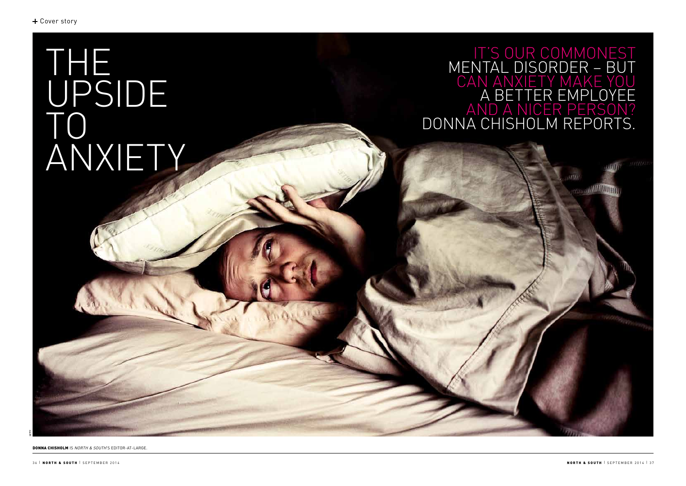DONNA CHISHOLM IS *NORTH & SOUTH*'S EDITOR-AT-LARGE.

GETTY

# THE UPSIDE TO ANXIETY



## IT'S OUR COMMONEST MENTAL DISORDER – BUT CAN ANXIETY MAKE YOU A BETTER EMPLOYEE AND A NICER PERSON? DONNA CHISHOLM REPORTS.

**ANOTHERING** 

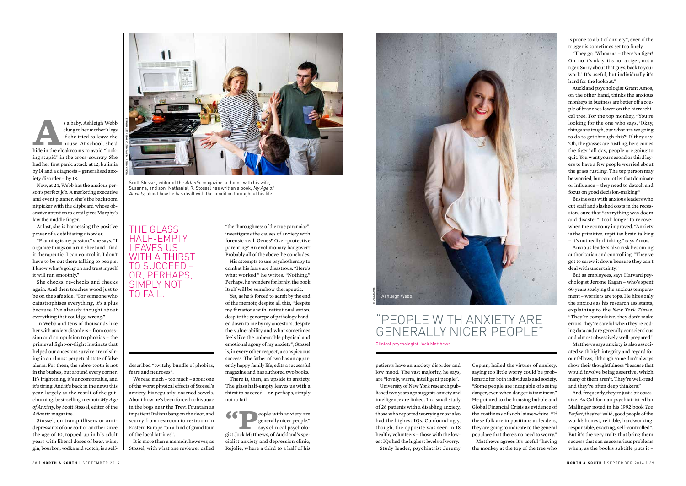Coplan, hailed the virtues of anxiety, saying too little worry could be problematic for both individuals and society. "Some people are incapable of seeing danger, even when danger is imminent." He pointed to the housing bubble and Global Financial Crisis as evidence of the costliness of such laissez-faire. "If these folk are in positions as leaders, they are going to indicate to the general populace that there's no need to worry." Matthews agrees it's useful "having the monkey at the top of the tree who

 $\overline{N}$  north & South  $\overline{S}$  is experiment and  $\overline{S}$  is a south  $\overline{S}$  south  $\overline{S}$  south  $\overline{S}$  south  $\overline{S}$  south  $\overline{S}$  south  $\overline{S}$  south  $\overline{S}$  south  $\overline{S}$  south  $\overline{S}$  south  $\overline{S}$  south

patients have an anxiety disorder and low mood. The vast majority, he says, are "lovely, warm, intelligent people".

University of New York research published two years ago suggests anxiety and intelligence are linked. In a small study of 26 patients with a disabling anxiety, those who reported worrying most also had the highest IQs. Confoundingly, though, the opposite was seen in 18 healthy volunteers – those with the lowest IQs had the highest levels of worry. Study leader, psychiatrist Jeremy

 $\left\{ \left\{ \right\} \right\}$  eople with anxiety are generally nicer people," says clinical psychologist Jock Matthews, of Auckland's specialist anxiety and depression clinic, Rojolie, where a third to a half of his

Probably all of the above, he concludes. His attempts to use psychotherapy to combat his fears are disastrous. "Here's what worked," he writes. "Nothing." Perhaps, he wonders forlornly, the book itself will be somehow therapeutic.

Yet, as he is forced to admit by the end of the memoir, despite all this, "despite my flirtations with institutionalisation, despite the genotype of pathology handed down to me by my ancestors, despite the vulnerability and what sometimes feels like the unbearable physical and emotional agony of my anxiety", Stossel is, in every other respect, a conspicuous success. The father of two has an apparently happy family life, edits a successful magazine and has authored two books.

There is, then, an upside to anxiety. The glass half-empty leaves us with a thirst to succeed – or, perhaps, simply not to fail.

**A**s a baby, Ashleigh Webb clung to her mother's legs if she tried to leave the house. At school, she'd hide in the cloakrooms to avoid "looking stupid" in the cross-country. She had her first panic attack at 12, bulimia by 14 and a diagnosis – generalised anxiety disorder – by 18.

Now, at 24, Webb has the anxious person's perfect job. A marketing executive and event planner, she's the backroom nitpicker with the clipboard whose obsessive attention to detail gives Murphy's law the middle finger.

At last, she is harnessing the positive power of a debilitating disorder.

"Planning is my passion," she says. "I organise things on a run sheet and I find it therapeutic. I can control it. I don't have to be out there talking to people. I know what's going on and trust myself it will run smoothly."

She checks, re-checks and checks again. And then touches wood just to be on the safe side. "For someone who catastrophises everything, it's a plus because I've already thought about everything that could go wrong."

In Webb and tens of thousands like her with anxiety disorders – from obsession and compulsion to phobias – the primeval fight-or-flight instincts that helped our ancestors survive are misfiring in an almost perpetual state of false alarm. For them, the sabre-tooth is not in the bushes, but around every corner. It's frightening, it's uncomfortable, and it's tiring. And it's back in the news this year, largely as the result of the gutchurning, best-selling memoir *My Age of Anxiety*, by Scott Stossel, editor of the *Atlantic* magazine.

Stossel, on tranquillisers or antidepressants of one sort or another since the age of 10, topped up in his adult years with liberal doses of beer, wine, gin, bourbon, vodka and scotch, is a self-



described "twitchy bundle of phobias,

fears and neuroses".

We read much – too much – about one of the worst physical effects of Stossel's anxiety: his regularly loosened bowels. About how he's been forced to bivouac in the bogs near the Trevi Fountain as impatient Italians bang on the door, and scurry from restroom to restroom in Eastern Europe "on a kind of grand tour

of the local latrines".

It is more than a memoir, however, as Stossel, with what one reviewer called is prone to a bit of anxiety", even if the trigger is sometimes set too finely.

"They go, 'Whoaaaa – there's a tiger! Oh, no it's okay, it's not a tiger, not a tiger. Sorry about that guys, back to your work.' It's useful, but individually it's hard for the lookout."

Auckland psychologist Grant Amos, on the other hand, thinks the anxious monkeys in business are better off a couple of branches lower on the hierarchical tree. For the top monkey, "You're looking for the one who says, 'Okay, things are tough, but what are we going to do to get through this?' If they say, 'Oh, the grasses are rustling, here comes the tiger' all day, people are going to quit. You want your second or third layers to have a few people worried about the grass rustling. The top person may be worried, but cannot let that dominate or influence – they need to detach and focus on good decision-making."

Businesses with anxious leaders who cut staff and slashed costs in the recession, sure that "everything was doom and disaster", took longer to recover when the economy improved. "Anxiety is the primitive, reptilian brain talking – it's not really thinking," says Amos.

Anxious leaders also risk becoming authoritarian and controlling. "They've got to screw it down because they can't deal with uncertainty."

But as employees, says Harvard psychologist Jerome Kagan – who's spent 60 years studying the anxious temperament – worriers are tops. He hires only the anxious as his research assistants, explaining to the *New York Times*, "They're compulsive, they don't make errors, they're careful when they're coding data and are generally conscientious and almost obsessively well-prepared."

Matthews says anxiety is also associated with high integrity and regard for our fellows, although some don't always show their thoughtfulness "because that would involve being assertive, which many of them aren't. They're well-read and they're often deep thinkers."

And, frequently, they're just a bit obsessive. As Californian psychiatrist Allan Mallinger noted in his 1992 book *Too Perfect*, they're "solid, good people of the world: honest, reliable, hardworking, responsible, exacting, self-controlled". But it's the very traits that bring them success that can cause serious problems when, as the book's subtitle puts it –

Clinical psychologist Jock Matthews

### "PEOPLE WITH ANXIETY ARE GENERALLY NICER PEOPLE"

THE GLASS HALF-EMPTY LEAVES US



OR, PERHAPS, SIMPLY NOT

TO FAIL.



Scott Stossel, editor of the *Atlantic* magazine, at home with his wife, Susanna, and son, Nathaniel, 7. Stossel has written a book, *My Age of Anxiety*, about how he has dealt with the condition throughout his life.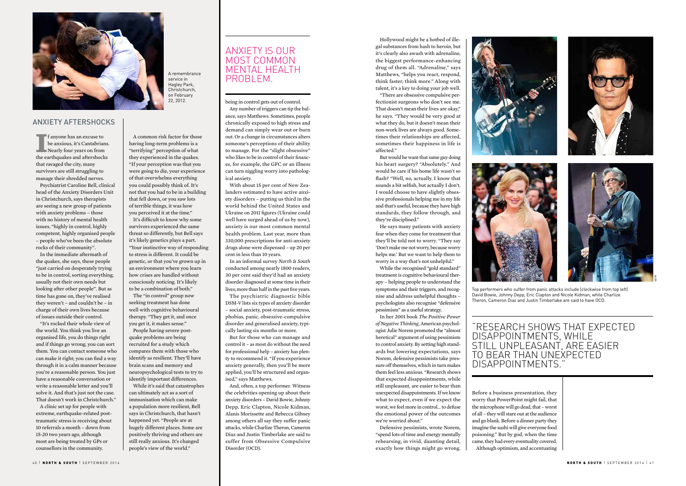being in control gets out of control. Any number of triggers can tip the balance, says Matthews. Sometimes, people chronically exposed to high stress and demand can simply wear out or burn out. Or a change in circumstances alters someone's perceptions of their ability to manage. For the "slight obsessive" who likes to be in control of their finances, for example, the GFC or an illness can turn niggling worry into pathological anxiety.

With about 15 per cent of New Zealanders estimated to have active anxiety disorders – putting us third in the world behind the United States and Ukraine on 2011 figures (Ukraine could well have surged ahead of us by now), anxiety is our most common mental health problem. Last year, more than 330,000 prescriptions for anti-anxiety drugs alone were dispensed – up 20 per cent in less than 10 years.

In an informal survey *North & South*  conducted among nearly 1800 readers, 30 per cent said they'd had an anxiety disorder diagnosed at some time in their lives; more than half in the past five years.

The psychiatric diagnostic bible DSM-V lists six types of anxiety disorder – social anxiety, post-traumatic stress, phobias, panic, obsessive-compulsive disorder and generalised anxiety, typically lasting six months or more.

But for those who can manage and control it – as most do without the need for professional help – anxiety has plenty to recommend it. "If you experience anxiety generally, then you'll be more applied, you'll be structured and organised," says Matthews.

And, often, a top performer. Witness the celebrities opening up about their anxiety disorders – David Bowie, Johnny Depp, Eric Clapton, Nicole Kidman, Alanis Morissette and Rebecca Gibney among others all say they suffer panic attacks, while Charlize Theron, Cameron Diaz and Justin Timberlake are said to suffer from Obsessive Compulsive Disorder (OCD).

Hollywood might be a hotbed of illegal substances from hash to heroin, but it's clearly also awash with adrenaline, the biggest performance-enhancing drug of them all. "Adrenaline," says Matthews, "helps you react, respond, think faster, think more." Along with talent, it's a key to doing your job well.

"There are obsessive compulsive perfectionist surgeons who don't see me. That doesn't mean their lives are okay," he says. "They would be very good at what they do, but it doesn't mean their non-work lives are always good. Sometimes their relationships are affected, sometimes their happiness in life is affected."

**I** f anyone has an excuse to be anxious, it's Cantabrian Nearly four years on from be anxious, it's Cantabrians. Nearly four years on from the earthquakes and aftershocks that ravaged the city, many survivors are still struggling to manage their shredded nerves.

But would he want that same guy doing his heart surgery? "Absolutely." And would he care if his home life wasn't so flash? "Well, no, actually. I know that sounds a bit selfish, but actually I don't. I would choose to have slightly obsessive professionals helping me in my life and that's useful, because they have high standards, they follow through, and they're disciplined."

He says many patients with anxiety fear when they come for treatment that they'll be told not to worry. "They say 'Don't make me not worry, because worry helps me.' But we want to help them to worry in a way that's not unhelpful."

While the recognised "gold standard" treatment is cognitive behavioural therapy – helping people to understand the symptoms and their triggers, and recognise and address unhelpful thoughts – psychologists also recognise "defensive pessimism" as a useful strategy.

In her 2001 book *The Positive Power of Negative Thinking*, American psychologist Julie Norem promoted the "almost heretical" argument of using pessimism to control anxiety. By setting high standards but lowering expectations, says Norem, defensive pessimists take pressure off themselves, which in turn makes them feel less anxious. "Research shows that expected disappointments, while still unpleasant, are easier to bear than unexpected disappointments. If we know what to expect, even if we expect the worst, we feel more in control… to defuse the emotional power of the outcomes we're worried about."

Defensive pessimists, wrote Norem, "spend lots of time and energy mentally rehearsing, in vivid, daunting detail, exactly how things might go wrong.





Before a business presentation, they worry that PowerPoint might fail, that the microphone will go dead, that – worst of all – they will stare out at the audience and go blank. Before a dinner party they imagine the sushi will give everyone food poisoning." But by god, when the time came, they had every eventuality covered. Although optimism, and accentuating GETTY

#### "RESEARCH SHOWS THAT EXPECTED DISAPPOINTMENTS, WHILE STILL UNPLEASANT, ARE EASIER TO BEAR THAN UNEXPECTED DISAPPOINTMENTS."

Top performers who suffer from panic attacks include (clockwise from top left) David Bowie, Johnny Depp, Eric Clapton and Nicole Kidman, while Charlize Theron, Cameron Diaz and Justin Timberlake are said to have OCD.

Psychiatrist Caroline Bell, clinical head of the Anxiety Disorders Unit in Christchurch, says therapists are seeing a new group of patients with anxiety problems – those with no history of mental health issues, "highly in control, highly competent, highly organised people – people who've been the absolute rocks of their community".

In the immediate aftermath of the quakes, she says, these people "just carried on desperately trying to be in control, sorting everything, usually not their own needs but looking after other people". But as time has gone on, they've realised they weren't – and couldn't be – in charge of their own lives because of issues outside their control.

"It's rocked their whole view of the world. You think you live an organised life, you do things right and if things go wrong, you can sort them. You can contact someone who can make it right; you can find a way through it in a calm manner because you're a reasonable person. You just have a reasonable conversation or write a reasonable letter and you'll solve it. And that's just not the case. That doesn't work in Christchurch."

A clinic set up for people with extreme, earthquake-related posttraumatic stress is receiving about 10 referrals a month – down from 15-20 two years ago, although most are being treated by GPs or counsellors in the community.

A common risk factor for those having long-term problems is a "terrifying" perception of what they experienced in the quakes. "If your perception was that you were going to die, your experience of that overwhelms everything you could possibly think of. It's not that you had to be in a building that fell down, or you saw lots of terrible things, it was how you perceived it at the time."

It's difficult to know why some survivors experienced the same threat so differently, but Bell says it's likely genetics plays a part. "Your instinctive way of responding to stress is different. It could be genetic, or that you've grown up in an environment where you learn how crises are handled without consciously noticing. It's likely to be a combination of both."

The "in control" group now seeking treatment has done well with cognitive behavioural therapy. "They get it, and once you get it, it makes sense."

People having severe postquake problems are being recruited for a study which compares them with those who identify as resilient. They'll have brain scans and memory and neuropsychological tests to try to identify important differences.

While it's said that catastrophes can ultimately act as a sort of immunisation which can make a population more resilient, Bell says in Christchurch, that hasn't happened yet. "People are at hugely different places. Some are positively thriving and others are still really anxious. It's changed people's view of the world."



ANXIETY AFTERSHOCKS

A remembrance service in Hagley Park, Christchurch, on February 22, 2012.

#### ANXIETY IS OUR MOST COMMON MENTAL HEALTH PROBLEM.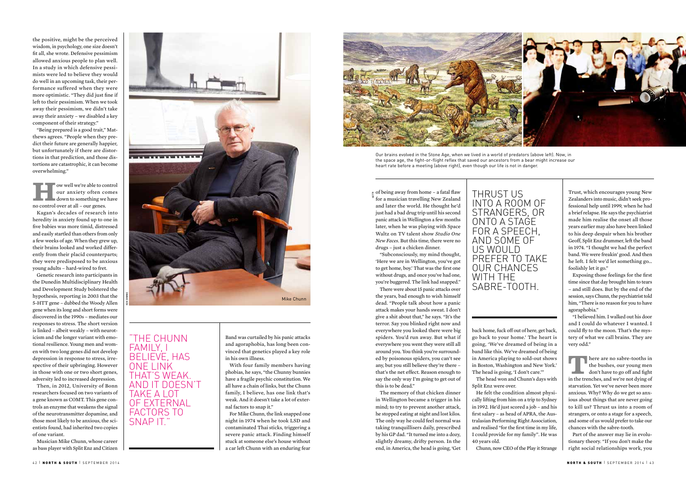the positive, might be the perceived wisdom, in psychology, one size doesn't fit all, she wrote. Defensive pessimism allowed anxious people to plan well. In a study in which defensive pessimists were led to believe they would do well in an upcoming task, their performance suffered when they were more optimistic. "They did just fine if left to their pessimism. When we took away their pessimism, we didn't take away their anxiety – we disabled a key component of their strategy."

**How well we're able to control**<br>
our anxiety often comes<br>
down to something we have our anxiety often comes no control over at all – our genes.

"Being prepared is a good trait," Matthews agrees. "People when they predict their future are generally happier, but unfortunately if there are distortions in that prediction, and those distortions are catastrophic, it can become overwhelming."

Kagan's decades of research into heredity in anxiety found up to one in five babies was more timid, distressed and easily startled than others from only a few weeks of age. When they grew up, their brains looked and worked differently from their placid counterparts; they were predisposed to be anxious young adults – hard-wired to fret.

Genetic research into participants in the Dunedin Multidisciplinary Health and Development Study bolstered the hypothesis, reporting in 2003 that the 5-HTT gene – dubbed the Woody Allen gene when its long and short forms were discovered in the 1990s – mediates our responses to stress. The short version is linked – albeit weakly – with neuroticism and the longer variant with emotional resilience. Young men and women with two long genes did not develop depression in response to stress, irrespective of their upbringing. However in those with one or two short genes, adversity led to increased depression.

 $\frac{1}{6}$  of being away from home – a fatal flaw for a musician travelling New Zealand and later the world. He thought he'd just had a bad drug trip until his second panic attack in Wellington a few months later, when he was playing with Space Waltz on TV talent show *Studio One New Faces*. But this time, there were no drugs – just a chicken dinner.

Then, in 2012, University of Bonn researchers focused on two variants of a gene known as COMT. This gene controls an enzyme that weakens the signal of the neurotransmitter dopamine, and those most likely to be anxious, the scientists found, had inherited two copies of one variant.

Musician Mike Chunn, whose career as bass player with Split Enz and Citizen

Band was curtailed by his panic attacks and agoraphobia, has long been convinced that genetics played a key role in his own illness.

With four family members having phobias, he says, "the Chunny bunnies have a fragile psychic constitution. We all have a chain of links, but the Chunn family, I believe, has one link that's weak. And it doesn't take a lot of external factors to snap it."

For Mike Chunn, the link snapped one night in 1974 when he took LSD and contaminated Thai sticks, triggering a severe panic attack. Finding himself stuck at someone else's house without a car left Chunn with an enduring fear



**T** here are no sabre-tooths in<br>the bushes, our young men<br>don't have to go off and fight the bushes, our young men in the trenches, and we're not dying of starvation. Yet we've never been more anxious. Why? Why do we get so anxious about things that are never going to kill us? Thrust us into a room of strangers, or onto a stage for a speech, and some of us would prefer to take our chances with the sabre-tooth.

"Subconsciously, my mind thought, 'Here we are in Wellington, you've got to get home, boy.' That was the first one without drugs, and once you've had one, you're buggered. The link had snapped." There were about 15 panic attacks over

The memory of that chicken dinner in Wellington became a trigger in his mind; to try to prevent another attack, he stopped eating at night and lost kilos. The only way he could feel normal was taking tranquillisers daily, prescribed by his GP dad. "It turned me into a dozy, slightly dreamy, drifty person. In the end, in America, the head is going, 'Get

back home, fuck off out of here, get back, go back to your home.' The heart is going, 'We've dreamed of being in a band like this. We've dreamed of being in America playing to sold-out shows in Boston, Washington and New York.' The head is going, 'I don't care.'"

The head won and Chunn's days with

Split Enz were over. He felt the condition almost physically lifting from him on a trip to Sydney in 1992. He'd just scored a job – and his first salary – as head of APRA, the Australasian Performing Right Association, and realised "for the first time in my life,

I could provide for my family". He was

the years, bad enough to wish himself dead. "People talk about how a panic attack makes your hands sweat. I don't give a shit about that," he says. "It's the terror. Say you blinked right now and everywhere you looked there were big spiders. You'd run away. But what if everywhere you went they were still all around you. You think you're surrounded by poisonous spiders, you can't see any, but you still believe they're there – that's the net effect. Reason enough to say the only way I'm going to get out of this is to be dead." NORTH & SOUTH <sup>|</sup> SEPTEMBER 2014 42 | NORTH & SOUTH <sup>|</sup> SEPTEMBER 2014 | 4 3 KEN DOWNIE

40 years old.

Chunn, now CEO of the Play it Strange

Trust, which encourages young New Zealanders into music, didn't seek professional help until 1999, when he had a brief relapse. He says the psychiatrist made him realise the onset all those years earlier may also have been linked to his deep despair when his brother Geoff, Split Enz drummer, left the band in 1974. "I thought we had the perfect band. We were freakin' good. And then he left. I felt we'd let something go… foolishly let it go."

Exposing those feelings for the first time since that day brought him to tears – and still does. But by the end of the session, says Chunn, the psychiatrist told him, "There is no reason for you to have agoraphobia."

"I believed him. I walked out his door and I could do whatever I wanted. I could fly to the moon. That's the mystery of what we call brains. They are very odd."

Part of the answer may lie in evolutionary theory. "If you don't make the right social relationships work, you



"THE CHUNN FAMILY, I BELIEVE, HAS ONE LINK THAT'S WEAK. AND IT DOESN'T TAKE A LOT OF EXTERNAL FACTORS TO SNAP IT."

Our brains evolved in the Stone Age, when we lived in a world of predators (above left). Now, in the space age, the fight-or-flight reflex that saved our ancestors from a bear might increase our heart rate before a meeting (above right), even though our life is not in danger.

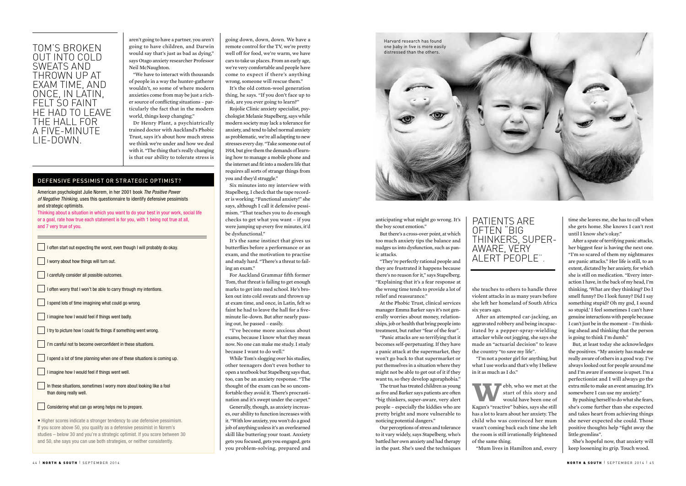| going down, down, down. We have a          |
|--------------------------------------------|
| remote control for the TV, we're pretty    |
| well off for food, we're warm, we have     |
| cars to take us places. From an early age, |
| we're very comfortable and people have     |
| come to expect if there's anything         |
| wrong, someone will rescue them."          |

It's the old cotton-wool generation thing, he says. "If you don't face up to risk, are you ever going to learn?"

Rojolie Clinic anxiety specialist, psychologist Melanie Stapelberg, says while modern society may lack a tolerance for anxiety, and tend to label normal anxiety as problematic, we're all adapting to new stresses every day. "Take someone out of 1914, but give them the demands of learning how to manage a mobile phone and the internet and fit into a modern life that requires all sorts of strange things from you and they'd struggle."

Six minutes into my interview with Stapelberg, I check that the tape recorder is working. "Functional anxiety!" she says, although I call it defensive pessimism. "That teaches you to do enough checks to get what you want – if you were jumping up every five minutes, it'd be dysfunctional."

It's the same instinct that gives us butterflies before a performance or an exam, and the motivation to practise and study hard. "There's a threat to failing an exam."

For Auckland Grammar fifth former Tom, that threat is failing to get enough marks to get into med school. He's broken out into cold sweats and thrown up at exam time, and once, in Latin, felt so faint he had to leave the hall for a fiveminute lie-down. But after nearly passing out, he passed – easily.

"I've become more anxious about exams, because I know what they mean now. No one can make me study. I study because I want to do well."

While Tom's slogging over his studies, other teenagers don't even bother to open a textbook but Stapelberg says that, too, can be an anxiety response. "The thought of the exam can be so uncomfortable they avoid it. There's procrastination and it's swept under the carpet."

Generally, though, as anxiety increases, our ability to function increases with it. "With low anxiety, you won't do a good job of anything unless it's an overlearned skill like buttering your toast. Anxiety gets you focused, gets you engaged, gets you problem-solving, prepared and

**W**ebb, who we met at the start of this story and would have been one of start of this story and would have been one of Kagan's "reactive" babies, says she still has a lot to learn about her anxiety. The child who was convinced her mum wasn't coming back each time she left the room is still irrationally frightened of the same thing.

anticipating what might go wrong. It's the boy scout emotion."

But there's a cross-over point, at which too much anxiety tips the balance and nudges us into dysfunction, such as panic attacks.

"They're perfectly rational people and they are frustrated it happens because there's no reason for it," says Stapelberg. "Explaining that it's a fear response at the wrong time tends to provide a lot of relief and reassurance."

> By pushing herself to do what she fears, she's come further than she expected and takes heart from achieving things she never expected she could. Those positive thoughts help "fight away the little gremlins".

At the Phobic Trust, clinical services manager Emma Barker says it's not generally worries about money, relationships, job or health that bring people into treatment, but rather "fear of the fear".

"Panic attacks are so terrifying that it becomes self-perpetuating. If they have a panic attack at the supermarket, they won't go back to that supermarket or put themselves in a situation where they might not be able to get out of it if they want to, so they develop agoraphobia."

The trust has treated children as young as five and Barker says patients are often "big thinkers, super-aware, very alert people – especially the kiddies who are pretty bright and more vulnerable to noticing potential dangers."

Our perceptions of stress and tolerance to it vary widely, says Stapelberg, who's battled her own anxiety and had therapy in the past. She's used the techniques

she teaches to others to handle three violent attacks in as many years before she left her homeland of South Africa six years ago.

After an attempted car-jacking, an aggravated robbery and being incapacitated by a pepper-spray-wielding attacker while out jogging, she says she made an "actuarial decision" to leave the country "to save my life".

"I'm not a poster girl for anything, but what I use works and that's why I believe in it as much as I do."

"Mum lives in Hamilton and, every

time she leaves me, she has to call when she gets home. She knows I can't rest until I know she's okay."

After a spate of terrifying panic attacks, her biggest fear is having the next one. "I'm so scared of them my nightmares are panic attacks." Her life is still, to an extent, dictated by her anxiety, for which she is still on medication. "Every interaction I have, in the back of my head, I'm thinking, 'What are they thinking? Do I smell funny? Do I look funny? Did I say something stupid? Oh my god, I sound so stupid.' I feel sometimes I can't have genuine interactions with people because I can't just be in the moment – I'm thinking ahead and thinking that the person is going to think I'm dumb."

But, at least today she acknowledges the positives. "My anxiety has made me really aware of others in a good way. I've always looked out for people around me and I'm aware if someone is upset. I'm a perfectionist and I will always go the extra mile to make an event amazing. It's somewhere I can use my anxiety."

She's hopeful now, that anxiety will keep loosening its grip. Touch wood.



American psychologist Julie Norem, in her 2001 book *The Positive Power of Negative Thinking*, uses this questionnaire to identify defensive pessimists and strategic optimists.

I often start out expecting the worst, even though I will probably do okay.

 $\Box$  I often worry that I won't be able to carry through my intentions.

I try to picture how I could fix things if something went wrong.

**I'm careful not to become overconfident in these situations.** 

 $\Box$  I spend a lot of time planning when one of these situations is coming up.

In these situations, sometimes I worry more about looking like a fool

Thinking about a situation in which you want to do your best in your work, social life or a goal, rate how true each statement is for you, with 1 being not true at all, and 7 very true of you.

than doing really well.

 $\parallel$  I worry about how things will turn out.

I carefully consider all possible outcomes.

• Higher scores indicate a stronger tendency to use defensive pessimism. If you score above 50, you qualify as a defensive pessimist in Norem's studies – below 30 and you're a strategic optimist. If you score between 30 and 50, she says you can use both strategies, or neither consistently.

I spend lots of time imagining what could go wrong.

 $\Box$  I imagine how I would feel if things went badly.

I imagine how I would feel if things went well.

 $\Box$  Considering what can go wrong helps me to prepare.

#### DEFENSIVE PESSIMIST OR STRATEGIC OPTIMIST?

aren't going to have a partner, you aren't going to have children, and Darwin would say that's just as bad as dying," says Otago anxiety researcher Professor Neil McNaughton.

"We have to interact with thousands of people in a way the hunter-gatherer wouldn't, so some of where modern anxieties come from may be just a richer source of conflicting situations – particularly the fact that in the modern world, things keep changing."

Dr Henry Plant, a psychiatrically trained doctor with Auckland's Phobic Trust, says it's about how much stress we think we're under and how we deal with it. "The thing that's really changing is that our ability to tolerate stress is

#### PATIENTS ARE OFTEN "BIG THINKERS, SUPER-AWARE, VERY ALERT PEOPLE".

#### TOM'S BROKEN OUT INTO COLD SWEATS AND THROWN UP AT EXAM TIME, AND ONCE, IN LATIN, FELT SO FAINT HE HAD TO LEAVE THE HALL FOR A FIVE-MINUTE LIE-DOWN.

Harvard research has found one baby in five is more easily distressed than the others.